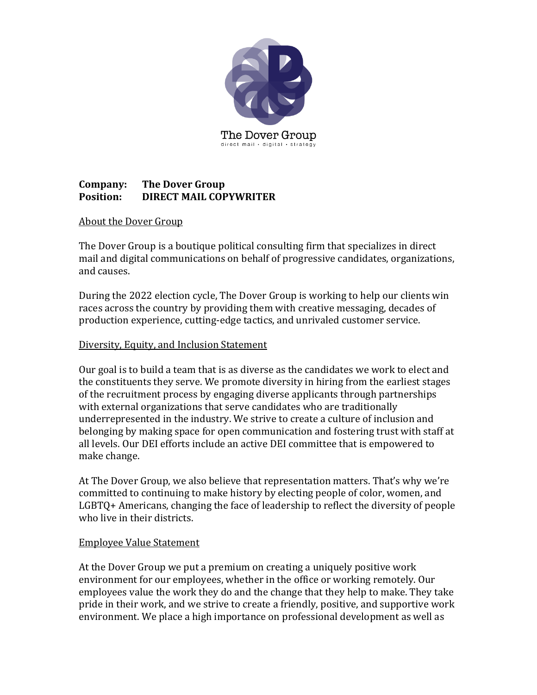

## **Company:** The Dover Group **Position: DIRECT MAIL COPYWRITER**

### About the Dover Group

The Dover Group is a boutique political consulting firm that specializes in direct mail and digital communications on behalf of progressive candidates, organizations, and causes.

During the 2022 election cycle, The Dover Group is working to help our clients win races across the country by providing them with creative messaging, decades of production experience, cutting-edge tactics, and unrivaled customer service.

### Diversity, Equity, and Inclusion Statement

Our goal is to build a team that is as diverse as the candidates we work to elect and the constituents they serve. We promote diversity in hiring from the earliest stages of the recruitment process by engaging diverse applicants through partnerships with external organizations that serve candidates who are traditionally underrepresented in the industry. We strive to create a culture of inclusion and belonging by making space for open communication and fostering trust with staff at all levels. Our DEI efforts include an active DEI committee that is empowered to make change.

At The Dover Group, we also believe that representation matters. That's why we're committed to continuing to make history by electing people of color, women, and  $LGBTQ+$  Americans, changing the face of leadership to reflect the diversity of people who live in their districts.

### Employee Value Statement

At the Dover Group we put a premium on creating a uniquely positive work environment for our employees, whether in the office or working remotely. Our employees value the work they do and the change that they help to make. They take pride in their work, and we strive to create a friendly, positive, and supportive work environment. We place a high importance on professional development as well as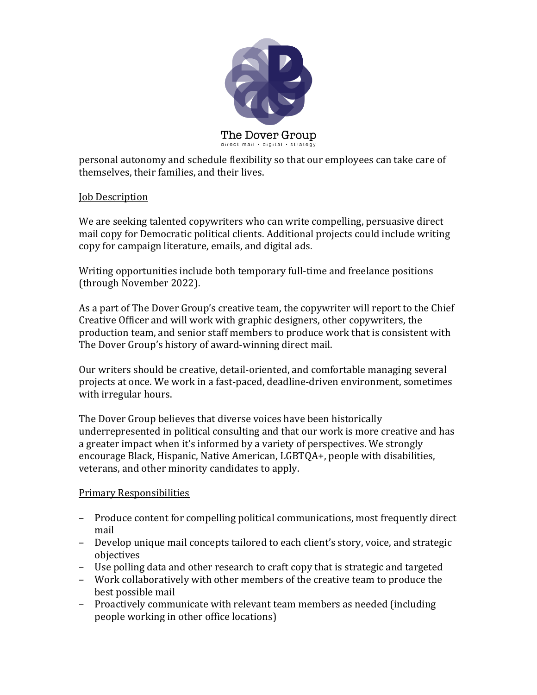

personal autonomy and schedule flexibility so that our employees can take care of themselves, their families, and their lives.

### **Job** Description

We are seeking talented copywriters who can write compelling, persuasive direct mail copy for Democratic political clients. Additional projects could include writing copy for campaign literature, emails, and digital ads.

Writing opportunities include both temporary full-time and freelance positions (through November 2022).

As a part of The Dover Group's creative team, the copywriter will report to the Chief Creative Officer and will work with graphic designers, other copywriters, the production team, and senior staff members to produce work that is consistent with The Dover Group's history of award-winning direct mail.

Our writers should be creative, detail-oriented, and comfortable managing several projects at once. We work in a fast-paced, deadline-driven environment, sometimes with irregular hours.

The Dover Group believes that diverse voices have been historically underrepresented in political consulting and that our work is more creative and has a greater impact when it's informed by a variety of perspectives. We strongly encourage Black, Hispanic, Native American, LGBTQA+, people with disabilities, veterans, and other minority candidates to apply.

### **Primary Responsibilities**

- Produce content for compelling political communications, most frequently direct mail
- Develop unique mail concepts tailored to each client's story, voice, and strategic objectives
- Use polling data and other research to craft copy that is strategic and targeted
- Work collaboratively with other members of the creative team to produce the best possible mail
- Proactively communicate with relevant team members as needed (including people working in other office locations)